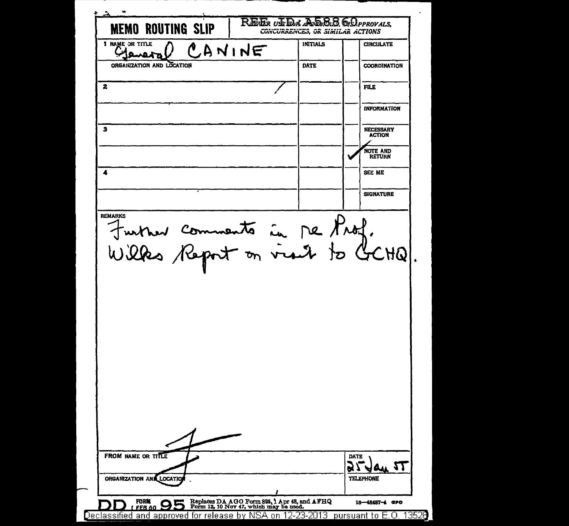| <b>MEMO ROUTING SLIP</b><br>1 NAME OR TITLE                                     |        | CONCURRENCES, OR SIMILAR ACTIONS<br><b>INITIALS</b> |      | <b>CIRCULATE</b>                  |
|---------------------------------------------------------------------------------|--------|-----------------------------------------------------|------|-----------------------------------|
|                                                                                 | CANINE |                                                     |      |                                   |
| ORGANIZATION AND LOCATION                                                       |        | <b>DATE</b>                                         |      | <b>COORDINATION</b>               |
| 2                                                                               |        |                                                     |      | FILE                              |
|                                                                                 |        |                                                     |      | <b>INFORMATION</b>                |
| з                                                                               |        |                                                     |      | <b>NECESSARY</b><br><b>ACTION</b> |
|                                                                                 |        |                                                     |      | NOTE AND<br><b>RETURN</b>         |
| 4                                                                               |        |                                                     |      | SEE ME                            |
|                                                                                 |        |                                                     |      | <b>SIGNATURE</b>                  |
| <b>REMARKS</b><br>turner comments in me Prof.<br>Wilks Report on visit to GCHQ. |        |                                                     |      |                                   |
|                                                                                 |        |                                                     |      |                                   |
|                                                                                 |        |                                                     |      |                                   |
| FROM NAME OR TITLE                                                              |        |                                                     | DATE |                                   |